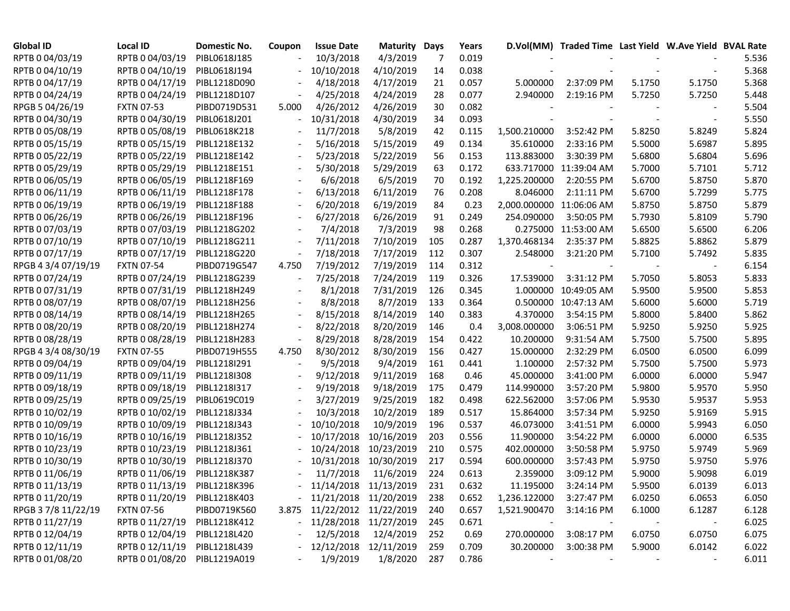| <b>Global ID</b>    | Local ID                     | Domestic No. | Coupon                       | <b>Issue Date</b>           | <b>Maturity</b> | Days | Years |                          | D.Vol(MM) Traded Time Last Yield W.Ave Yield BVAL Rate |        |        |       |
|---------------------|------------------------------|--------------|------------------------------|-----------------------------|-----------------|------|-------|--------------------------|--------------------------------------------------------|--------|--------|-------|
| RPTB 0 04/03/19     | RPTB 0 04/03/19              | PIBL0618J185 |                              | 10/3/2018                   | 4/3/2019        | 7    | 0.019 |                          |                                                        |        |        | 5.536 |
| RPTB 0 04/10/19     | RPTB 0 04/10/19              | PIBL0618J194 |                              | 10/10/2018                  | 4/10/2019       | 14   | 0.038 |                          |                                                        |        |        | 5.368 |
| RPTB 0 04/17/19     | RPTB 0 04/17/19              | PIBL1218D090 |                              | 4/18/2018                   | 4/17/2019       | 21   | 0.057 | 5.000000                 | 2:37:09 PM                                             | 5.1750 | 5.1750 | 5.368 |
| RPTB 0 04/24/19     | RPTB 0 04/24/19              | PIBL1218D107 |                              | 4/25/2018                   | 4/24/2019       | 28   | 0.077 | 2.940000                 | 2:19:16 PM                                             | 5.7250 | 5.7250 | 5.448 |
| RPGB 5 04/26/19     | <b>FXTN 07-53</b>            | PIBD0719D531 | 5.000                        | 4/26/2012                   | 4/26/2019       | 30   | 0.082 |                          |                                                        |        |        | 5.504 |
| RPTB 0 04/30/19     | RPTB 0 04/30/19              | PIBL0618J201 |                              | 10/31/2018                  | 4/30/2019       | 34   | 0.093 |                          |                                                        |        |        | 5.550 |
| RPTB 0 05/08/19     | RPTB 0 05/08/19              | PIBL0618K218 | $\overline{\phantom{a}}$     | 11/7/2018                   | 5/8/2019        | 42   | 0.115 | 1,500.210000             | 3:52:42 PM                                             | 5.8250 | 5.8249 | 5.824 |
| RPTB 0 05/15/19     | RPTB 0 05/15/19              | PIBL1218E132 | $\overline{\phantom{a}}$     | 5/16/2018                   | 5/15/2019       | 49   | 0.134 | 35.610000                | 2:33:16 PM                                             | 5.5000 | 5.6987 | 5.895 |
| RPTB 0 05/22/19     | RPTB 0 05/22/19              | PIBL1218E142 | $\overline{\phantom{a}}$     | 5/23/2018                   | 5/22/2019       | 56   | 0.153 | 113.883000               | 3:30:39 PM                                             | 5.6800 | 5.6804 | 5.696 |
| RPTB 0 05/29/19     | RPTB 0 05/29/19              | PIBL1218E151 | $\overline{\phantom{a}}$     | 5/30/2018                   | 5/29/2019       | 63   | 0.172 |                          | 633.717000 11:39:04 AM                                 | 5.7000 | 5.7101 | 5.712 |
| RPTB 0 06/05/19     | RPTB 0 06/05/19              | PIBL1218F169 | $\overline{\phantom{a}}$     | 6/6/2018                    | 6/5/2019        | 70   | 0.192 | 1,225.200000             | 2:20:55 PM                                             | 5.6700 | 5.8750 | 5.870 |
| RPTB 0 06/11/19     | RPTB 0 06/11/19              | PIBL1218F178 | $\qquad \qquad \blacksquare$ | 6/13/2018                   | 6/11/2019       | 76   | 0.208 | 8.046000                 | 2:11:11 PM                                             | 5.6700 | 5.7299 | 5.775 |
| RPTB 0 06/19/19     | RPTB 0 06/19/19              | PIBL1218F188 | $\qquad \qquad \blacksquare$ | 6/20/2018                   | 6/19/2019       | 84   | 0.23  | 2,000.000000 11:06:06 AM |                                                        | 5.8750 | 5.8750 | 5.879 |
| RPTB 0 06/26/19     | RPTB 0 06/26/19              | PIBL1218F196 |                              | 6/27/2018                   | 6/26/2019       | 91   | 0.249 | 254.090000               | 3:50:05 PM                                             | 5.7930 | 5.8109 | 5.790 |
| RPTB 0 07/03/19     | RPTB 0 07/03/19              | PIBL1218G202 |                              | 7/4/2018                    | 7/3/2019        | 98   | 0.268 |                          | 0.275000 11:53:00 AM                                   | 5.6500 | 5.6500 | 6.206 |
| RPTB 0 07/10/19     | RPTB 0 07/10/19              | PIBL1218G211 | $\overline{\phantom{a}}$     | 7/11/2018                   | 7/10/2019       | 105  | 0.287 | 1,370.468134             | 2:35:37 PM                                             | 5.8825 | 5.8862 | 5.879 |
| RPTB 0 07/17/19     | RPTB 0 07/17/19              | PIBL1218G220 | $\overline{\phantom{a}}$     | 7/18/2018                   | 7/17/2019       | 112  | 0.307 | 2.548000                 | 3:21:20 PM                                             | 5.7100 | 5.7492 | 5.835 |
| RPGB 4 3/4 07/19/19 | <b>FXTN 07-54</b>            | PIBD0719G547 | 4.750                        | 7/19/2012                   | 7/19/2019       | 114  | 0.312 |                          | $\sim$                                                 |        |        | 6.154 |
| RPTB 0 07/24/19     | RPTB 0 07/24/19              | PIBL1218G239 | $\overline{\phantom{a}}$     | 7/25/2018                   | 7/24/2019       | 119  | 0.326 | 17.539000                | 3:31:12 PM                                             | 5.7050 | 5.8053 | 5.833 |
| RPTB 0 07/31/19     | RPTB 0 07/31/19              | PIBL1218H249 | $\overline{\phantom{a}}$     | 8/1/2018                    | 7/31/2019       | 126  | 0.345 |                          | 1.000000 10:49:05 AM                                   | 5.9500 | 5.9500 | 5.853 |
| RPTB 0 08/07/19     | RPTB 0 08/07/19              | PIBL1218H256 | $\overline{\phantom{a}}$     | 8/8/2018                    | 8/7/2019        | 133  | 0.364 |                          | 0.500000 10:47:13 AM                                   | 5.6000 | 5.6000 | 5.719 |
| RPTB 0 08/14/19     | RPTB 0 08/14/19              | PIBL1218H265 | $\overline{\phantom{a}}$     | 8/15/2018                   | 8/14/2019       | 140  | 0.383 | 4.370000                 | 3:54:15 PM                                             | 5.8000 | 5.8400 | 5.862 |
| RPTB 0 08/20/19     | RPTB 0 08/20/19              | PIBL1218H274 |                              | 8/22/2018                   | 8/20/2019       | 146  | 0.4   | 3,008.000000             | 3:06:51 PM                                             | 5.9250 | 5.9250 | 5.925 |
| RPTB 0 08/28/19     | RPTB 0 08/28/19              | PIBL1218H283 |                              | 8/29/2018                   | 8/28/2019       | 154  | 0.422 | 10.200000                | 9:31:54 AM                                             | 5.7500 | 5.7500 | 5.895 |
| RPGB 4 3/4 08/30/19 | <b>FXTN 07-55</b>            | PIBD0719H555 | 4.750                        | 8/30/2012                   | 8/30/2019       | 156  | 0.427 | 15.000000                | 2:32:29 PM                                             | 6.0500 | 6.0500 | 6.099 |
| RPTB 0 09/04/19     | RPTB 0 09/04/19              | PIBL1218I291 |                              | 9/5/2018                    | 9/4/2019        | 161  | 0.441 | 1.100000                 | 2:57:32 PM                                             | 5.7500 | 5.7500 | 5.973 |
| RPTB 0 09/11/19     | RPTB 0 09/11/19              | PIBL1218I308 | $\overline{\phantom{a}}$     | 9/12/2018                   | 9/11/2019       | 168  | 0.46  | 45.000000                | 3:41:00 PM                                             | 6.0000 | 6.0000 | 5.947 |
| RPTB 0 09/18/19     | RPTB 0 09/18/19              | PIBL1218I317 |                              | 9/19/2018                   | 9/18/2019       | 175  | 0.479 | 114.990000               | 3:57:20 PM                                             | 5.9800 | 5.9570 | 5.950 |
| RPTB 0 09/25/19     | RPTB 0 09/25/19              | PIBL0619C019 |                              | 3/27/2019                   | 9/25/2019       | 182  | 0.498 | 622.562000               | 3:57:06 PM                                             | 5.9530 | 5.9537 | 5.953 |
| RPTB 0 10/02/19     | RPTB 0 10/02/19              | PIBL1218J334 | $\qquad \qquad \blacksquare$ | 10/3/2018                   | 10/2/2019       | 189  | 0.517 | 15.864000                | 3:57:34 PM                                             | 5.9250 | 5.9169 | 5.915 |
| RPTB 0 10/09/19     | RPTB 0 10/09/19              | PIBL1218J343 | $\overline{\phantom{a}}$     | 10/10/2018                  | 10/9/2019       | 196  | 0.537 | 46.073000                | 3:41:51 PM                                             | 6.0000 | 5.9943 | 6.050 |
| RPTB 0 10/16/19     | RPTB 0 10/16/19              | PIBL1218J352 |                              | 10/17/2018                  | 10/16/2019      | 203  | 0.556 | 11.900000                | 3:54:22 PM                                             | 6.0000 | 6.0000 | 6.535 |
| RPTB 0 10/23/19     | RPTB 0 10/23/19              | PIBL1218J361 |                              | 10/24/2018                  | 10/23/2019      | 210  | 0.575 | 402.000000               | 3:50:58 PM                                             | 5.9750 | 5.9749 | 5.969 |
| RPTB 0 10/30/19     | RPTB 0 10/30/19              | PIBL1218J370 |                              | 10/31/2018                  | 10/30/2019      | 217  | 0.594 | 600.000000               | 3:57:43 PM                                             | 5.9750 | 5.9750 | 5.976 |
| RPTB 0 11/06/19     | RPTB 0 11/06/19              | PIBL1218K387 |                              | 11/7/2018                   | 11/6/2019       | 224  | 0.613 | 2.359000                 | 3:09:12 PM                                             | 5.9000 | 5.9098 | 6.019 |
| RPTB 0 11/13/19     | RPTB 0 11/13/19 PIBL1218K396 |              |                              | - 11/14/2018 11/13/2019     |                 | 231  | 0.632 | 11.195000                | 3:24:14 PM                                             | 5.9500 | 6.0139 | 6.013 |
| RPTB 0 11/20/19     | RPTB 0 11/20/19 PIBL1218K403 |              |                              | $-11/21/2018$ $11/20/2019$  |                 | 238  | 0.652 | 1,236.122000             | 3:27:47 PM                                             | 6.0250 | 6.0653 | 6.050 |
| RPGB 3 7/8 11/22/19 | <b>FXTN 07-56</b>            | PIBD0719K560 |                              | 3.875 11/22/2012 11/22/2019 |                 | 240  | 0.657 | 1,521.900470             | 3:14:16 PM                                             | 6.1000 | 6.1287 | 6.128 |
| RPTB 0 11/27/19     | RPTB 0 11/27/19              | PIBL1218K412 |                              | - 11/28/2018 11/27/2019     |                 | 245  | 0.671 |                          |                                                        |        |        | 6.025 |
| RPTB 0 12/04/19     | RPTB 0 12/04/19              | PIBL1218L420 |                              | 12/5/2018                   | 12/4/2019       | 252  | 0.69  | 270.000000               | 3:08:17 PM                                             | 6.0750 | 6.0750 | 6.075 |
| RPTB 0 12/11/19     | RPTB 0 12/11/19 PIBL1218L439 |              |                              | $-12/12/2018$ $12/11/2019$  |                 | 259  | 0.709 | 30.200000                | 3:00:38 PM                                             | 5.9000 | 6.0142 | 6.022 |
| RPTB 0 01/08/20     | RPTB 0 01/08/20 PIBL1219A019 |              |                              | 1/9/2019                    | 1/8/2020        | 287  | 0.786 |                          |                                                        |        |        | 6.011 |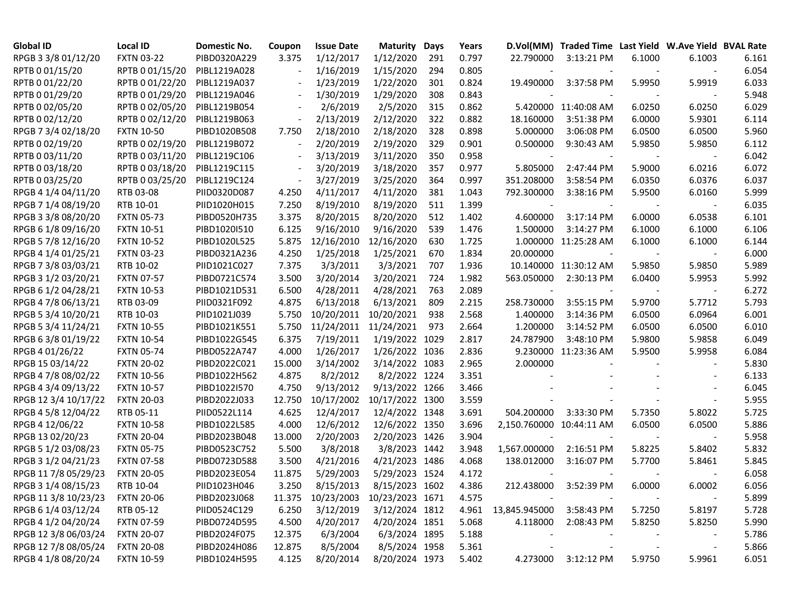| <b>Global ID</b>     | Local ID          | Domestic No. | Coupon                   | <b>Issue Date</b>                 | <b>Maturity</b> | Days | Years |                          | D.Vol(MM) Traded Time Last Yield W.Ave Yield BVAL Rate |        |                          |       |
|----------------------|-------------------|--------------|--------------------------|-----------------------------------|-----------------|------|-------|--------------------------|--------------------------------------------------------|--------|--------------------------|-------|
| RPGB 3 3/8 01/12/20  | <b>FXTN 03-22</b> | PIBD0320A229 | 3.375                    | 1/12/2017                         | 1/12/2020       | 291  | 0.797 | 22.790000                | 3:13:21 PM                                             | 6.1000 | 6.1003                   | 6.161 |
| RPTB 0 01/15/20      | RPTB 0 01/15/20   | PIBL1219A028 | $\overline{a}$           | 1/16/2019                         | 1/15/2020       | 294  | 0.805 |                          |                                                        |        |                          | 6.054 |
| RPTB 0 01/22/20      | RPTB 0 01/22/20   | PIBL1219A037 |                          | 1/23/2019                         | 1/22/2020       | 301  | 0.824 | 19.490000                | 3:37:58 PM                                             | 5.9950 | 5.9919                   | 6.033 |
| RPTB 0 01/29/20      | RPTB 0 01/29/20   | PIBL1219A046 | $\overline{\phantom{a}}$ | 1/30/2019                         | 1/29/2020       | 308  | 0.843 |                          |                                                        |        |                          | 5.948 |
| RPTB 0 02/05/20      | RPTB 0 02/05/20   | PIBL1219B054 |                          | 2/6/2019                          | 2/5/2020        | 315  | 0.862 |                          | 5.420000 11:40:08 AM                                   | 6.0250 | 6.0250                   | 6.029 |
| RPTB 0 02/12/20      | RPTB 0 02/12/20   | PIBL1219B063 | $\overline{\phantom{a}}$ | 2/13/2019                         | 2/12/2020       | 322  | 0.882 | 18.160000                | 3:51:38 PM                                             | 6.0000 | 5.9301                   | 6.114 |
| RPGB 7 3/4 02/18/20  | <b>FXTN 10-50</b> | PIBD1020B508 | 7.750                    | 2/18/2010                         | 2/18/2020       | 328  | 0.898 | 5.000000                 | 3:06:08 PM                                             | 6.0500 | 6.0500                   | 5.960 |
| RPTB 0 02/19/20      | RPTB 0 02/19/20   | PIBL1219B072 | $\overline{\phantom{a}}$ | 2/20/2019                         | 2/19/2020       | 329  | 0.901 | 0.500000                 | 9:30:43 AM                                             | 5.9850 | 5.9850                   | 6.112 |
| RPTB 0 03/11/20      | RPTB 0 03/11/20   | PIBL1219C106 | $\overline{\phantom{a}}$ | 3/13/2019                         | 3/11/2020       | 350  | 0.958 |                          |                                                        |        |                          | 6.042 |
| RPTB 0 03/18/20      | RPTB 0 03/18/20   | PIBL1219C115 | $\overline{\phantom{a}}$ | 3/20/2019                         | 3/18/2020       | 357  | 0.977 | 5.805000                 | 2:47:44 PM                                             | 5.9000 | 6.0216                   | 6.072 |
| RPTB 0 03/25/20      | RPTB 0 03/25/20   | PIBL1219C124 | $\overline{\phantom{a}}$ | 3/27/2019                         | 3/25/2020       | 364  | 0.997 | 351.208000               | 3:58:54 PM                                             | 6.0350 | 6.0376                   | 6.037 |
| RPGB 4 1/4 04/11/20  | RTB 03-08         | PIID0320D087 | 4.250                    | 4/11/2017                         | 4/11/2020       | 381  | 1.043 | 792.300000               | 3:38:16 PM                                             | 5.9500 | 6.0160                   | 5.999 |
| RPGB 7 1/4 08/19/20  | RTB 10-01         | PIID1020H015 | 7.250                    | 8/19/2010                         | 8/19/2020       | 511  | 1.399 |                          |                                                        |        |                          | 6.035 |
| RPGB 3 3/8 08/20/20  | <b>FXTN 05-73</b> | PIBD0520H735 | 3.375                    | 8/20/2015                         | 8/20/2020       | 512  | 1.402 | 4.600000                 | 3:17:14 PM                                             | 6.0000 | 6.0538                   | 6.101 |
| RPGB 6 1/8 09/16/20  | <b>FXTN 10-51</b> | PIBD1020I510 | 6.125                    | 9/16/2010                         | 9/16/2020       | 539  | 1.476 | 1.500000                 | 3:14:27 PM                                             | 6.1000 | 6.1000                   | 6.106 |
| RPGB 5 7/8 12/16/20  | <b>FXTN 10-52</b> | PIBD1020L525 | 5.875                    | 12/16/2010                        | 12/16/2020      | 630  | 1.725 |                          | 1.000000 11:25:28 AM                                   | 6.1000 | 6.1000                   | 6.144 |
| RPGB 4 1/4 01/25/21  | <b>FXTN 03-23</b> | PIBD0321A236 | 4.250                    | 1/25/2018                         | 1/25/2021       | 670  | 1.834 | 20.000000                |                                                        |        |                          | 6.000 |
| RPGB 7 3/8 03/03/21  | RTB 10-02         | PIID1021C027 | 7.375                    | 3/3/2011                          | 3/3/2021        | 707  | 1.936 |                          | 10.140000 11:30:12 AM                                  | 5.9850 | 5.9850                   | 5.989 |
| RPGB 3 1/2 03/20/21  | <b>FXTN 07-57</b> | PIBD0721C574 | 3.500                    | 3/20/2014                         | 3/20/2021       | 724  | 1.982 | 563.050000               | 2:30:13 PM                                             | 6.0400 | 5.9953                   | 5.992 |
| RPGB 6 1/2 04/28/21  | <b>FXTN 10-53</b> | PIBD1021D531 | 6.500                    | 4/28/2011                         | 4/28/2021       | 763  | 2.089 | $\overline{\phantom{a}}$ | $\overline{\phantom{a}}$                               |        | $\overline{\phantom{a}}$ | 6.272 |
| RPGB 4 7/8 06/13/21  | RTB 03-09         | PIID0321F092 | 4.875                    | 6/13/2018                         | 6/13/2021       | 809  | 2.215 | 258.730000               | 3:55:15 PM                                             | 5.9700 | 5.7712                   | 5.793 |
| RPGB 5 3/4 10/20/21  | RTB 10-03         | PIID1021J039 | 5.750                    | 10/20/2011                        | 10/20/2021      | 938  | 2.568 | 1.400000                 | 3:14:36 PM                                             | 6.0500 | 6.0964                   | 6.001 |
| RPGB 5 3/4 11/24/21  | <b>FXTN 10-55</b> | PIBD1021K551 | 5.750                    | 11/24/2011                        | 11/24/2021      | 973  | 2.664 | 1.200000                 | 3:14:52 PM                                             | 6.0500 | 6.0500                   | 6.010 |
| RPGB 63/8 01/19/22   | <b>FXTN 10-54</b> | PIBD1022G545 | 6.375                    | 7/19/2011                         | 1/19/2022 1029  |      | 2.817 | 24.787900                | 3:48:10 PM                                             | 5.9800 | 5.9858                   | 6.049 |
| RPGB 4 01/26/22      | <b>FXTN 05-74</b> | PIBD0522A747 | 4.000                    | 1/26/2017                         | 1/26/2022 1036  |      | 2.836 |                          | 9.230000 11:23:36 AM                                   | 5.9500 | 5.9958                   | 6.084 |
| RPGB 15 03/14/22     | <b>FXTN 20-02</b> | PIBD2022C021 | 15.000                   | 3/14/2002                         | 3/14/2022 1083  |      | 2.965 | 2.000000                 |                                                        |        |                          | 5.830 |
| RPGB 4 7/8 08/02/22  | <b>FXTN 10-56</b> | PIBD1022H562 | 4.875                    | 8/2/2012                          | 8/2/2022 1224   |      | 3.351 |                          |                                                        |        |                          | 6.133 |
| RPGB 4 3/4 09/13/22  | <b>FXTN 10-57</b> | PIBD1022I570 | 4.750                    | 9/13/2012                         | 9/13/2022 1266  |      | 3.466 |                          |                                                        |        |                          | 6.045 |
| RPGB 12 3/4 10/17/22 | <b>FXTN 20-03</b> | PIBD2022J033 | 12.750                   | 10/17/2002                        | 10/17/2022 1300 |      | 3.559 |                          |                                                        |        |                          | 5.955 |
| RPGB 4 5/8 12/04/22  | RTB 05-11         | PIID0522L114 | 4.625                    | 12/4/2017                         | 12/4/2022 1348  |      | 3.691 | 504.200000               | 3:33:30 PM                                             | 5.7350 | 5.8022                   | 5.725 |
| RPGB 4 12/06/22      | <b>FXTN 10-58</b> | PIBD1022L585 | 4.000                    | 12/6/2012                         | 12/6/2022 1350  |      | 3.696 | 2,150.760000 10:44:11 AM |                                                        | 6.0500 | 6.0500                   | 5.886 |
| RPGB 13 02/20/23     | <b>FXTN 20-04</b> | PIBD2023B048 | 13.000                   | 2/20/2003                         | 2/20/2023 1426  |      | 3.904 |                          |                                                        |        |                          | 5.958 |
| RPGB 5 1/2 03/08/23  | <b>FXTN 05-75</b> | PIBD0523C752 | 5.500                    | 3/8/2018                          | 3/8/2023 1442   |      | 3.948 | 1,567.000000             | 2:16:51 PM                                             | 5.8225 | 5.8402                   | 5.832 |
| RPGB 3 1/2 04/21/23  | <b>FXTN 07-58</b> | PIBD0723D588 | 3.500                    | 4/21/2016                         | 4/21/2023 1486  |      | 4.068 | 138.012000               | 3:16:07 PM                                             | 5.7700 | 5.8461                   | 5.845 |
| RPGB 11 7/8 05/29/23 | <b>FXTN 20-05</b> | PIBD2023E054 | 11.875                   | 5/29/2003                         | 5/29/2023 1524  |      | 4.172 | $\overline{\phantom{a}}$ |                                                        |        |                          | 6.058 |
| RPGB 3 1/4 08/15/23  | RTB 10-04         | PIID1023H046 | 3.250                    | 8/15/2013                         | 8/15/2023 1602  |      | 4.386 | 212.438000               | 3:52:39 PM                                             | 6.0000 | 6.0002                   | 6.056 |
| RPGB 11 3/8 10/23/23 | <b>FXTN 20-06</b> | PIBD2023J068 |                          | 11.375 10/23/2003 10/23/2023 1671 |                 |      | 4.575 |                          |                                                        |        |                          | 5.899 |
| RPGB 6 1/4 03/12/24  | RTB 05-12         | PIID0524C129 | 6.250                    | 3/12/2019                         | 3/12/2024 1812  |      | 4.961 | 13,845.945000            | 3:58:43 PM                                             | 5.7250 | 5.8197                   | 5.728 |
| RPGB 4 1/2 04/20/24  | <b>FXTN 07-59</b> | PIBD0724D595 | 4.500                    | 4/20/2017                         | 4/20/2024 1851  |      | 5.068 | 4.118000                 | 2:08:43 PM                                             | 5.8250 | 5.8250                   | 5.990 |
| RPGB 12 3/8 06/03/24 | <b>FXTN 20-07</b> | PIBD2024F075 | 12.375                   | 6/3/2004                          | 6/3/2024 1895   |      | 5.188 |                          |                                                        |        |                          | 5.786 |
| RPGB 12 7/8 08/05/24 | <b>FXTN 20-08</b> | PIBD2024H086 | 12.875                   | 8/5/2004                          | 8/5/2024 1958   |      | 5.361 |                          |                                                        |        |                          | 5.866 |
| RPGB 4 1/8 08/20/24  | <b>FXTN 10-59</b> | PIBD1024H595 | 4.125                    | 8/20/2014                         | 8/20/2024 1973  |      | 5.402 | 4.273000                 | 3:12:12 PM                                             | 5.9750 | 5.9961                   | 6.051 |
|                      |                   |              |                          |                                   |                 |      |       |                          |                                                        |        |                          |       |